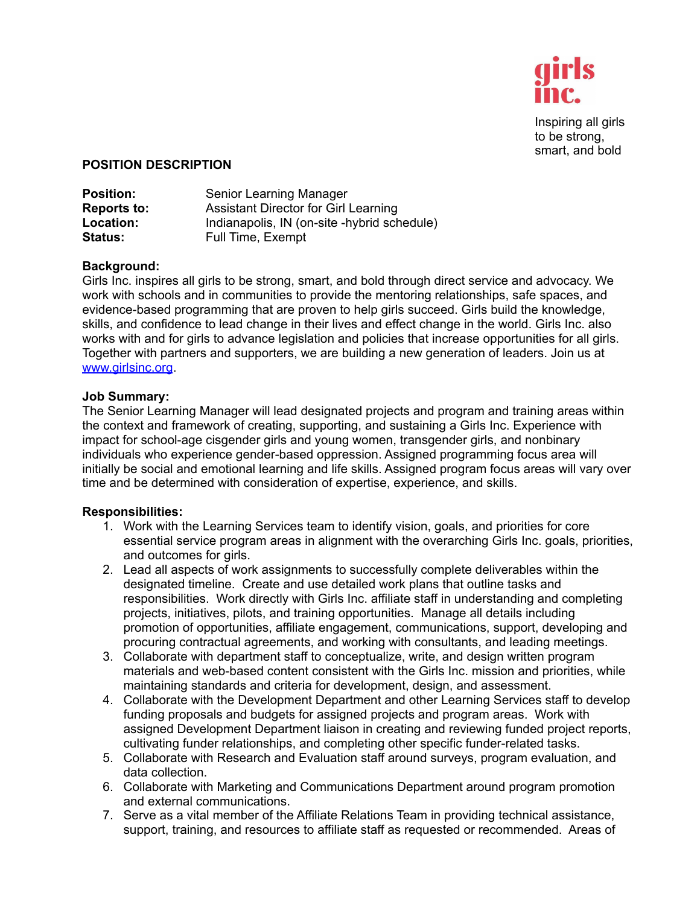

Inspiring all girls to be strong, smart, and bold

## **POSITION DESCRIPTION**

| <b>Position:</b>   | Senior Learning Manager                     |
|--------------------|---------------------------------------------|
| <b>Reports to:</b> | <b>Assistant Director for Girl Learning</b> |
| Location:          | Indianapolis, IN (on-site -hybrid schedule) |
| <b>Status:</b>     | Full Time, Exempt                           |

## **Background:**

Girls Inc. inspires all girls to be strong, smart, and bold through direct service and advocacy. We work with schools and in communities to provide the mentoring relationships, safe spaces, and evidence-based programming that are proven to help girls succeed. Girls build the knowledge, skills, and confidence to lead change in their lives and effect change in the world. Girls Inc. also works with and for girls to advance legislation and policies that increase opportunities for all girls. Together with partners and supporters, we are building a new generation of leaders. Join us at [www.girlsinc.org](http://www.girlsinc.org).

## **Job Summary:**

The Senior Learning Manager will lead designated projects and program and training areas within the context and framework of creating, supporting, and sustaining a Girls Inc. Experience with impact for school-age cisgender girls and young women, transgender girls, and nonbinary individuals who experience gender-based oppression. Assigned programming focus area will initially be social and emotional learning and life skills. Assigned program focus areas will vary over time and be determined with consideration of expertise, experience, and skills.

## **Responsibilities:**

- 1. Work with the Learning Services team to identify vision, goals, and priorities for core essential service program areas in alignment with the overarching Girls Inc. goals, priorities, and outcomes for girls.
- 2. Lead all aspects of work assignments to successfully complete deliverables within the designated timeline. Create and use detailed work plans that outline tasks and responsibilities. Work directly with Girls Inc. affiliate staff in understanding and completing projects, initiatives, pilots, and training opportunities. Manage all details including promotion of opportunities, affiliate engagement, communications, support, developing and procuring contractual agreements, and working with consultants, and leading meetings.
- 3. Collaborate with department staff to conceptualize, write, and design written program materials and web-based content consistent with the Girls Inc. mission and priorities, while maintaining standards and criteria for development, design, and assessment.
- 4. Collaborate with the Development Department and other Learning Services staff to develop funding proposals and budgets for assigned projects and program areas. Work with assigned Development Department liaison in creating and reviewing funded project reports, cultivating funder relationships, and completing other specific funder-related tasks.
- 5. Collaborate with Research and Evaluation staff around surveys, program evaluation, and data collection.
- 6. Collaborate with Marketing and Communications Department around program promotion and external communications.
- 7. Serve as a vital member of the Affiliate Relations Team in providing technical assistance, support, training, and resources to affiliate staff as requested or recommended. Areas of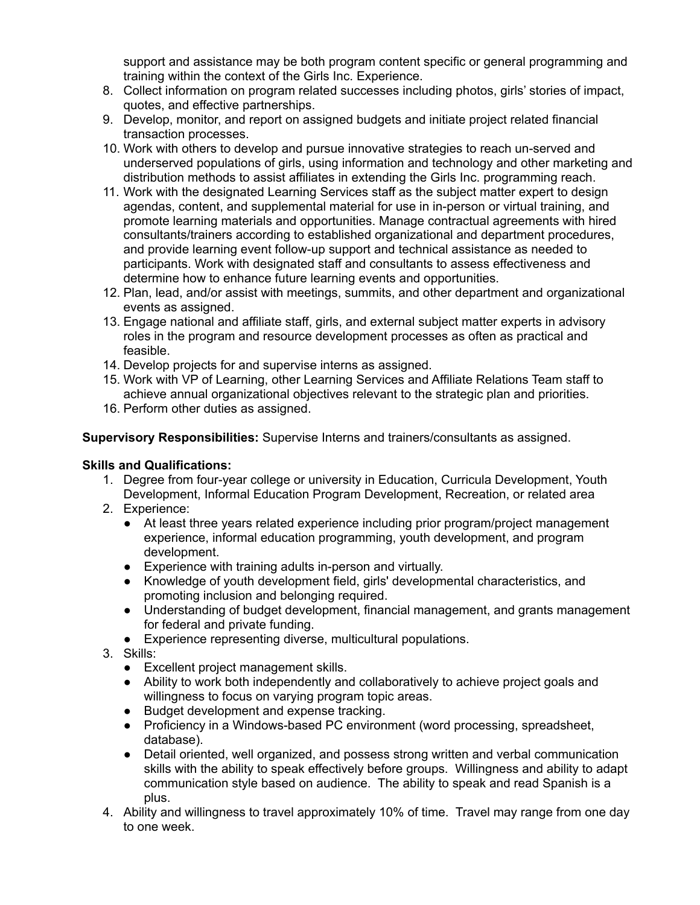support and assistance may be both program content specific or general programming and training within the context of the Girls Inc. Experience.

- 8. Collect information on program related successes including photos, girls' stories of impact, quotes, and effective partnerships.
- 9. Develop, monitor, and report on assigned budgets and initiate project related financial transaction processes.
- 10. Work with others to develop and pursue innovative strategies to reach un-served and underserved populations of girls, using information and technology and other marketing and distribution methods to assist affiliates in extending the Girls Inc. programming reach.
- 11. Work with the designated Learning Services staff as the subject matter expert to design agendas, content, and supplemental material for use in in-person or virtual training, and promote learning materials and opportunities. Manage contractual agreements with hired consultants/trainers according to established organizational and department procedures, and provide learning event follow-up support and technical assistance as needed to participants. Work with designated staff and consultants to assess effectiveness and determine how to enhance future learning events and opportunities.
- 12. Plan, lead, and/or assist with meetings, summits, and other department and organizational events as assigned.
- 13. Engage national and affiliate staff, girls, and external subject matter experts in advisory roles in the program and resource development processes as often as practical and feasible.
- 14. Develop projects for and supervise interns as assigned.
- 15. Work with VP of Learning, other Learning Services and Affiliate Relations Team staff to achieve annual organizational objectives relevant to the strategic plan and priorities.
- 16. Perform other duties as assigned.

**Supervisory Responsibilities:** Supervise Interns and trainers/consultants as assigned.

# **Skills and Qualifications:**

- 1. Degree from four-year college or university in Education, Curricula Development, Youth Development, Informal Education Program Development, Recreation, or related area
- 2. Experience:
	- At least three years related experience including prior program/project management experience, informal education programming, youth development, and program development.
	- Experience with training adults in-person and virtually.
	- Knowledge of youth development field, girls' developmental characteristics, and promoting inclusion and belonging required.
	- Understanding of budget development, financial management, and grants management for federal and private funding.
	- Experience representing diverse, multicultural populations.
- 3. Skills:
	- Excellent project management skills.
	- Ability to work both independently and collaboratively to achieve project goals and willingness to focus on varying program topic areas.
	- Budget development and expense tracking.
	- Proficiency in a Windows-based PC environment (word processing, spreadsheet, database).
	- Detail oriented, well organized, and possess strong written and verbal communication skills with the ability to speak effectively before groups. Willingness and ability to adapt communication style based on audience. The ability to speak and read Spanish is a plus.
- 4. Ability and willingness to travel approximately 10% of time. Travel may range from one day to one week.